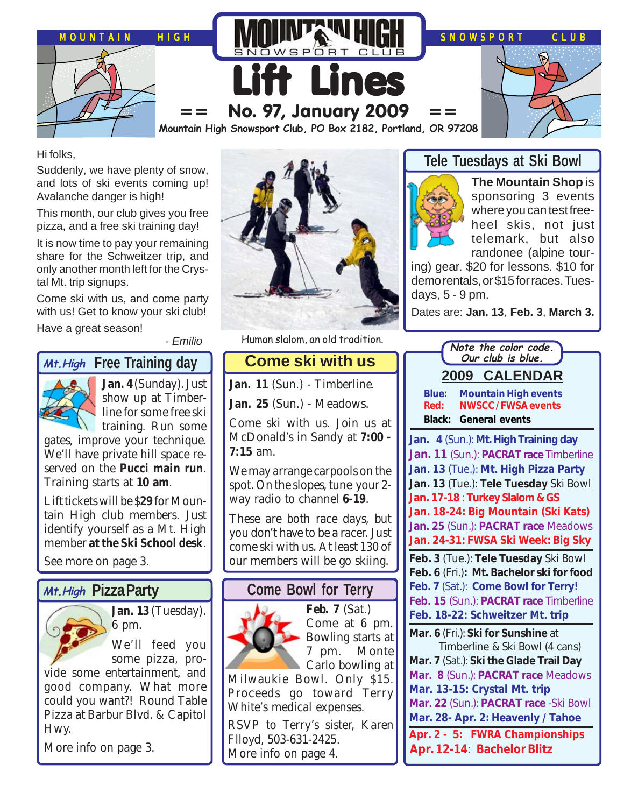

Hi folks,

Suddenly, we have plenty of snow, and lots of ski events coming up! Avalanche danger is high!

This month, our club gives you free pizza, and a free ski training day!

It is now time to pay your remaining share for the Schweitzer trip, and only another month left for the Crystal Mt. trip signups.

Come ski with us, and come party with us! Get to know your ski club!

Have a great season!

- Emilio

### *Mt.High* Free Training day



**Jan. 4** (Sunday). Just show up at Timberline for some free ski

training. Run some gates, improve your technique. We'll have private hill space reserved on the **Pucci main run**. Training starts at **10 am**.

Lift tickets will be \$**29** for Mountain High club members. Just identify yourself as a Mt. High member **at the Ski School desk**.

See more on page 3.

#### **Pizza Party Mt.High**



**Jan. 13** (Tuesday). 6 pm.

We'll feed you some pizza, pro-

vide some entertainment, and good company. What more could you want?! Round Table Pizza at Barbur Blvd. & Capitol Hwy.

More info on page 3.



Human slalom, an old tradition.

# **Come ski with us**

**Jan. 11** (Sun.) - Timberline.

**Jan. 25** (Sun.) - Meadows.

Come ski with us. Join us at McDonald's in Sandy at **7:00 - 7:15** am.

We may arrange carpools on the spot. On the slopes, tune your 2 way radio to channel **6-19**.

These are both race days, but you don't have to be a racer. Just come ski with us. At least 130 of our members will be go skiing.

# **Come Bowl for Terry**



**Feb. 7** (Sat.) Come at 6 pm. Bowling starts at 7 pm. Monte Carlo bowling at

Milwaukie Bowl. Only \$15. Proceeds go toward Terry White's medical expenses.

RSVP to Terry's sister, Karen Flloyd, 503-631-2425. More info on page 4.

### **Tele Tuesdays at Ski Bowl**



**The Mountain Shop** is sponsoring 3 events where you can test freeheel skis, not just telemark, but also randonee (alpine tour-

ing) gear. \$20 for lessons. \$10 for demo rentals, or \$15 for races. Tuesdays, 5 - 9 pm.

Dates are: **Jan. 13**, **Feb. 3**, **March 3.**

| Note the color code.                                                            |
|---------------------------------------------------------------------------------|
| Our club is blue.                                                               |
| 2009 CALENDAR                                                                   |
| Blue:<br><b>Mountain High events</b>                                            |
| <b>NWSCC/FWSA events</b><br>Red:                                                |
| <b>Black: General events</b>                                                    |
| Jan. 4 (Sun.): Mt. High Training day                                            |
| Jan. 11 (Sun.): PACRAT race Timberline                                          |
| Jan. 13 (Tue.): Mt. High Pizza Party                                            |
| Jan. 13 (Tue.): Tele Tuesday Ski Bowl                                           |
| Jan. 17-18: Turkey Slalom & GS                                                  |
| Jan. 18-24: Big Mountain (Ski Kats)                                             |
| Jan. 25 (Sun.): PACRAT race Meadows<br>Jan. 24-31: FWSA Ski Week: Big Sky       |
|                                                                                 |
| Feb. 3 (Tue.): Tele Tuesday Ski Bowl                                            |
| Feb. 6 (Fri.): Mt. Bachelor ski for food<br>Feb. 7 (Sat.): Come Bowl for Terry! |
| Feb. 15 (Sun.): PACRAT race Timberline                                          |
| Feb. 18-22: Schweitzer Mt. trip                                                 |
| Mar. 6 (Fri.): Ski for Sunshine at                                              |
| Timberline & Ski Bowl (4 cans)                                                  |
| Mar. 7 (Sat.): Ski the Glade Trail Day                                          |
| Mar. 8 (Sun.): PACRAT race Meadows                                              |
| Mar. 13-15: Crystal Mt. trip                                                    |
| Mar. 22 (Sun.): PACRAT race -Ski Bowl                                           |
| Mar. 28- Apr. 2: Heavenly / Tahoe                                               |
| Apr. 2 - 5: FWRA Championships                                                  |
| Apr. 12-14: Bachelor Blitz                                                      |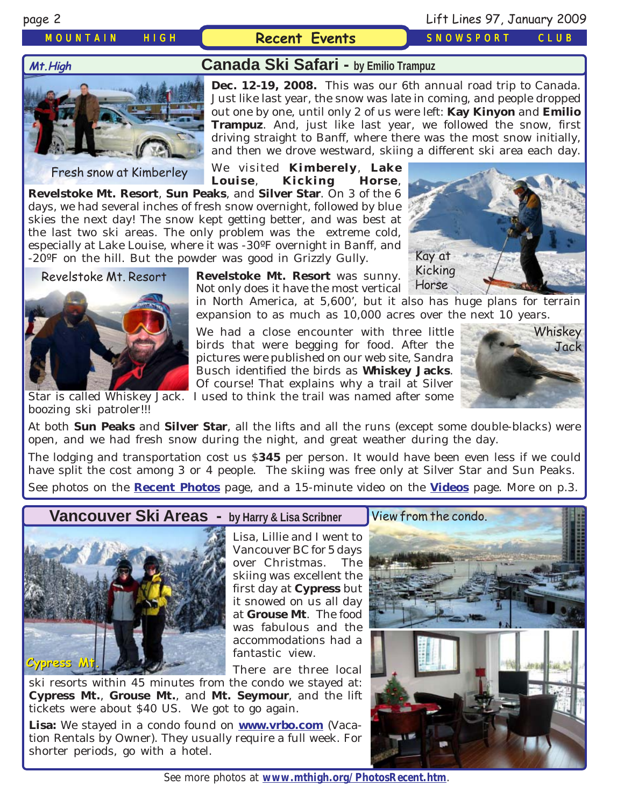#### *MOUNTAIN HIGH* **Recent Events** *SNOWSPORT CLUB*

### page 2 Lift Lines 97, January 2009

# **Canada Ski Safari - by Emilio Trampuz Mt.High**

Fresh snow at Kimberley

**Dec. 12-19, 2008.** This was our 6th annual road trip to Canada. Just like last year, the snow was late in coming, and people dropped out one by one, until only 2 of us were left: **Kay Kinyon** and **Emilio Trampuz**. And, just like last year, we followed the snow, first driving straight to Banff, where there was the most snow initially, and then we drove westward, skiing a different ski area each day.

We visited **Kimberely**, **Lake Louise**, **Kicking Horse**,

**Revelstoke Mt. Resort**, **Sun Peaks**, and **Silver Star**. On 3 of the 6 days, we had several inches of fresh snow overnight, followed by blue skies the next day! The snow kept getting better, and was best at the last two ski areas. The only problem was the extreme cold, especially at Lake Louise, where it was -30ºF overnight in Banff, and -20ºF on the hill. But the powder was good in Grizzly Gully.

**Revelstoke Mt. Resort** was sunny. Revelstoke Mt. Resort **Revelstoke Mt. Resort** was sunny. Nuthing<br>Not only does it have the most vertical Horse

in North America, at 5,600', but it also has huge plans for terrain expansion to as much as 10,000 acres over the next 10 years.

We had a close encounter with three little birds that were begging for food. After the pictures were published on our web site, Sandra Busch identified the birds as **Whiskey Jacks**. Of course! That explains why a trail at Silver



Star is called Whiskey Jack. I used to think the trail was named after some boozing ski patroler!!!

At both **Sun Peaks** and **Silver Star**, all the lifts and all the runs (except some double-blacks) were open, and we had fresh snow during the night, and great weather during the day.

The lodging and transportation cost us \$**345** per person. It would have been even less if we could have split the cost among 3 or 4 people. The skiing was free only at Silver Star and Sun Peaks. See photos on the **[Recent Photos](http://www.mthigh.org/PhotosRecent.htm)** page, and a 15-minute video on the **[Videos](http://www.mthigh.org/Videos.htm)** page. More on p.3.

**Vancouver Ski Areas - by Harry & Lisa Scribner**



Lisa, Lillie and I went to Vancouver BC for 5 days over Christmas. The skiing was excellent the first day at **Cypress** but it snowed on us all day at **Grouse Mt**. The food was fabulous and the accommodations had a fantastic view.

There are three local

ski resorts within 45 minutes from the condo we stayed at: **Cypress Mt.**, **Grouse Mt.**, and **Mt. Seymour**, and the lift tickets were about \$40 US. We got to go again.

**Lisa:** We stayed in a condo found on **[www.vrbo.com](http://www.vrbo.com/)** (Vacation Rentals by Owner). They usually require a full week. For shorter periods, go with a hotel.



See more photos at **[www.mthigh.org/PhotosRecent.htm](http://www.mthigh.org/PhotosRecent.htm)**.

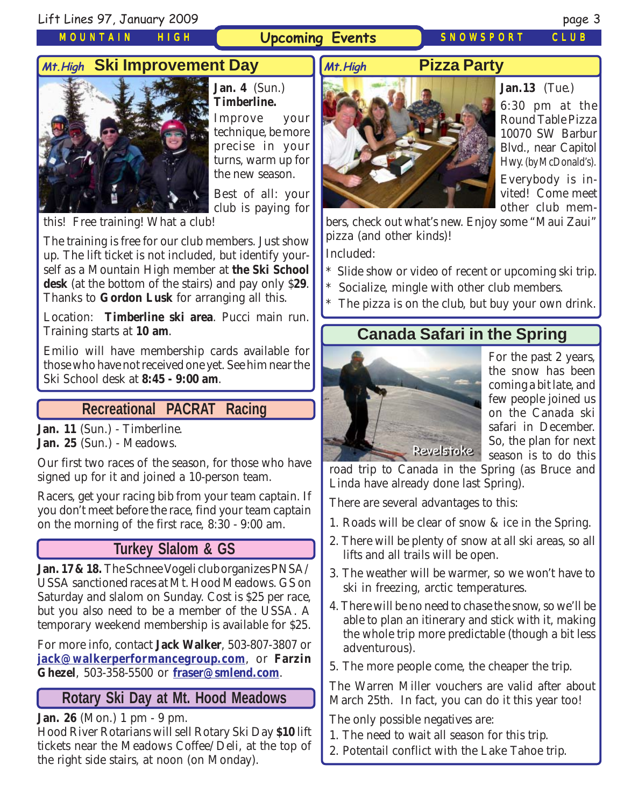*MOUNTAIN HIGH*

#### **Upcoming Events** *SNOWSPORT CLUB*

### **Pizza Party**



**Jan. 4** (Sun.) **Timberline.**

Improve your technique, be more precise in your turns, warm up for the new season.

Best of all: your club is paying for

this! Free training! What a club!

The training is free for our club members. Just show up. The lift ticket is not included, but identify yourself as a Mountain High member at **the Ski School desk** (at the bottom of the stairs) and pay only \$**29**. Thanks to **Gordon Lusk** for arranging all this.

Location: **Timberline ski area**. Pucci main run. Training starts at **10 am**.

Emilio will have membership cards available for those who have not received one yet. See him near the Ski School desk at **8:45 - 9:00 am**.

#### **Recreational PACRAT Racing**

**Jan. 11** (Sun.) - Timberline. **Jan. 25** (Sun.) - Meadows.

Our first two races of the season, for those who have signed up for it and joined a 10-person team.

Racers, get your racing bib from your team captain. If you don't meet before the race, find your team captain on the morning of the first race, 8:30 - 9:00 am.

#### **Turkey Slalom & GS**

**Jan. 17 & 18.** The Schnee Vogeli club organizes PNSA/ USSA sanctioned races at Mt. Hood Meadows. GS on Saturday and slalom on Sunday. Cost is \$25 per race, but you also need to be a member of the USSA. A temporary weekend membership is available for \$25.

For more info, contact **Jack Walker**, 503-807-3807 or **[jack@walkerperformancegroup.com](mailto:jack@walkerperformancegroup.com)**, or **Farzin Ghezel**, 503-358-5500 or **[fraser@smlend.com](mailto:fraser@smlend.com)**.

### **Rotary Ski Day at Mt. Hood Meadows**

**Jan. 26** (Mon.) 1 pm - 9 pm.

Hood River Rotarians will sell Rotary Ski Day **\$10** lift tickets near the Meadows Coffee/Deli, at the top of the right side stairs, at noon (on Monday).



**Jan.13** (Tue.) 6:30 pm at the Round Table Pizza 10070 SW Barbur Blvd., near Capitol Hwy. (by McDonald's). Everybody is invited! Come meet other club mem-

bers, check out what's new. Enjoy some "Maui Zaui" pizza (and other kinds)!

Included:

- Slide show or video of recent or upcoming ski trip.
- Socialize, mingle with other club members.
- The pizza is on the club, but buy your own drink.

# **Canada Safari in the Spring**



For the past 2 years, the snow has been coming a bit late, and few people joined us on the Canada ski safari in December. So, the plan for next season is to do this

road trip to Canada in the Spring (as Bruce and Linda have already done last Spring).

There are several advantages to this:

- 1. Roads will be clear of snow & ice in the Spring.
- 2. There will be plenty of snow at all ski areas, so all lifts and all trails will be open.
- 3. The weather will be warmer, so we won't have to ski in freezing, arctic temperatures.
- 4. There will be no need to chase the snow, so we'll be able to plan an itinerary and stick with it, making the whole trip more predictable (though a bit less adventurous).
- 5. The more people come, the cheaper the trip.

The Warren Miller vouchers are valid after about March 25th. In fact, you can do it this year too!

The only possible negatives are:

- 1. The need to wait all season for this trip.
- 2. Potentail conflict with the Lake Tahoe trip.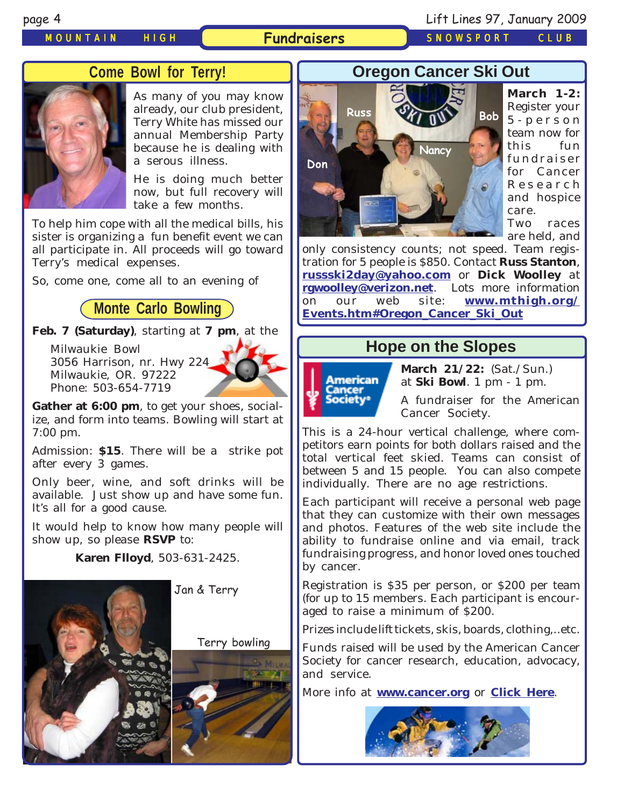#### *MOUNTAIN HIGH* **Fundraisers** *SNOWSPORT CLUB*

### **Come Bowl for Terry!**



As many of you may know already, our club president, Terry White has missed our annual Membership Party because he is dealing with a serous illness.

He is doing much better now, but full recovery will take a few months.

To help him cope with all the medical bills, his sister is organizing a fun benefit event we can all participate in. All proceeds will go toward Terry's medical expenses.

So, come one, come all to an evening of

#### **Monte Carlo Bowling**

**Feb. 7 (Saturday)**, starting at **7 pm**, at the

Milwaukie Bowl 3056 Harrison, nr. Hwy 224 Milwaukie, OR. 97222 Phone: 503-654-7719



**Gather at 6:00 pm**, to get your shoes, socialize, and form into teams. Bowling will start at 7:00 pm.

Admission: **\$15**. There will be a strike pot after every 3 games.

Only beer, wine, and soft drinks will be available. Just show up and have some fun. It's all for a good cause.

It would help to know how many people will show up, so please **RSVP** to:

**Karen Flloyd**, 503-631-2425.







**March 1-2:** Register your 5-person team now for this fun fundraiser for Cancer Research and hospice care. Two races

are held, and

only consistency counts; not speed. Team registration for 5 people is \$850. Contact **Russ Stanton**, **[russski2day@yahoo.com](mailto:russski2day@yahoo.com)** or **Dick Woolley** at **[rgwoolley@verizon.net](mailto:rgwoolley@verizon.net)**. Lots more information on our web site: **[www.mthigh.org/](http://www.mthigh.org/Events.htm#Oregon_Cancer_Ski_Out) [Events.htm#Oregon\\_Cancer\\_Ski\\_Out](http://www.mthigh.org/Events.htm#Oregon_Cancer_Ski_Out)**

#### **Hope on the Slopes**



**March 21/22:** (Sat./Sun.) at **Ski Bowl**. 1 pm - 1 pm.

A fundraiser for the American Cancer Society.

This is a 24-hour vertical challenge, where competitors earn points for both dollars raised and the total vertical feet skied. Teams can consist of between 5 and 15 people. You can also compete individually. There are no age restrictions.

Each participant will receive a personal web page that they can customize with their own messages and photos. Features of the web site include the ability to fundraise online and via email, track fundraising progress, and honor loved ones touched by cancer.

Registration is \$35 per person, or \$200 per team (for up to 15 members. Each participant is encouraged to raise a minimum of \$200.

Prizes include lift tickets, skis, boards, clothing,..etc.

Funds raised will be used by the American Cancer Society for cancer research, education, advocacy, and service.

More info at **[www.cancer.org](http://www.cancer.org/)** or **[Click Here](http://www.cancer.org/docroot/COM/content/div_Northwest/COM_5_1x_Hope_on_the_Slopes.asp?sitearea=COM)**.

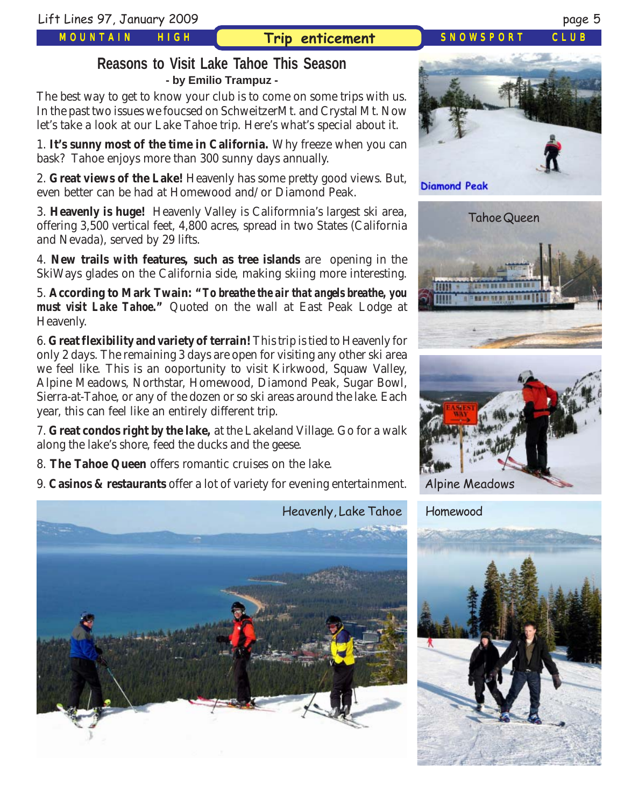*MOUNTAIN HIGH*

### **Trip enticement** *SNOWSPORT CLUB*

### **Reasons to Visit Lake Tahoe This Season - by Emilio Trampuz -**

The best way to get to know your club is to come on some trips with us. In the past two issues we foucsed on SchweitzerMt. and Crystal Mt. Now let's take a look at our Lake Tahoe trip. Here's what's special about it.

1. **It's sunny most of the time in California.** Why freeze when you can bask? Tahoe enjoys more than 300 sunny days annually.

2. **Great views of the Lake!** Heavenly has some pretty good views. But, even better can be had at Homewood and/or Diamond Peak.

3. **Heavenly is huge!** Heavenly Valley is Califormnia's largest ski area, offering 3,500 vertical feet, 4,800 acres, spread in two States (California and Nevada), served by 29 lifts.

4. **New trails with features, such as tree islands** are opening in the SkiWays glades on the California side, making skiing more interesting.

5. **According to Mark Twain: "***To breathe the air that angels breathe, you must visit Lake Tahoe***."** Quoted on the wall at East Peak Lodge at Heavenly.

6. **Great flexibility and variety of terrain!** This trip is tied to Heavenly for only 2 days. The remaining 3 days are open for visiting any other ski area we feel like. This is an ooportunity to visit Kirkwood, Squaw Valley, Alpine Meadows, Northstar, Homewood, Diamond Peak, Sugar Bowl, Sierra-at-Tahoe, or any of the dozen or so ski areas around the lake. Each year, this can feel like an entirely different trip.

7. **Great condos right by the lake,** at the Lakeland Village. Go for a walk along the lake's shore, feed the ducks and the geese.

8. **The Tahoe Queen** offers romantic cruises on the lake.

9. **Casinos & restaurants** offer a lot of variety for evening entertainment.









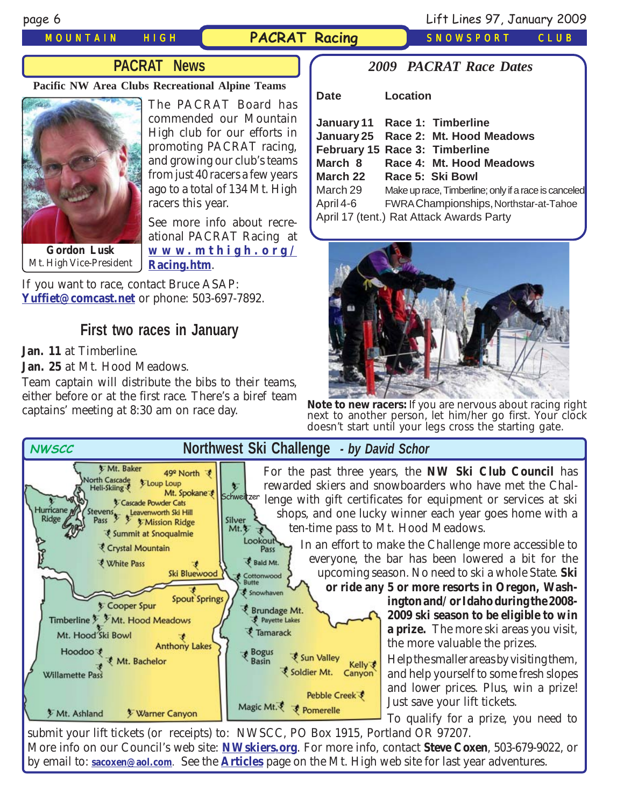#### *MOUNTAIN HIGH* **PACRAT Racing** *SNOWSPORT CLUB*

### **PACRAT News**

#### **Pacific NW Area Clubs Recreational Alpine Teams**



The PACRAT Board has commended our Mountain High club for our efforts in promoting PACRAT racing, and growing our club's teams from just 40 racers a few years ago to a total of 134 Mt. High racers this year.

See more info about recreational PACRAT Racing at **www [.mthigh.or](http://www.mthigh.org/Racing.htm) g / Racing.htm**.

If you want to race, contact Bruce ASAP: **[Yuffiet@comcast.net](mailto:Yuffiet@comcast.net)** or phone: 503-697-7892.

### **First two races in January**

**Jan. 11** at Timberline.

[Mt. High Vice-President](http://www.mthigh.org/Racing.htm)

**Jan. 25** at Mt. Hood Meadows.

Team captain will distribute the bibs to their teams, either before or at the first race. There's a biref team captains' meeting at 8:30 am on race day.

#### *2009 PACRAT Race Dates*

**Date Location**



**Note to new racers:** If you are nervous about racing right next to another person, let him/her go first. Your clock doesn't start until your legs cross the starting gate.



submit your lift tickets (or receipts) to: NWSCC, PO Box 1915, Portland OR 97207. More info on our Council's web site: **[NWskiers.org](http://www.nwskiers.org/)**. For more info, contact **Steve Coxen**, 503-679-9022, or by email to: **[sacoxen@aol.com](mailto:sacoxen@aol.com)**. See the **[Articles](http://www.mthigh.org/Articles.htm)** page on the Mt. High web site for last year adventures.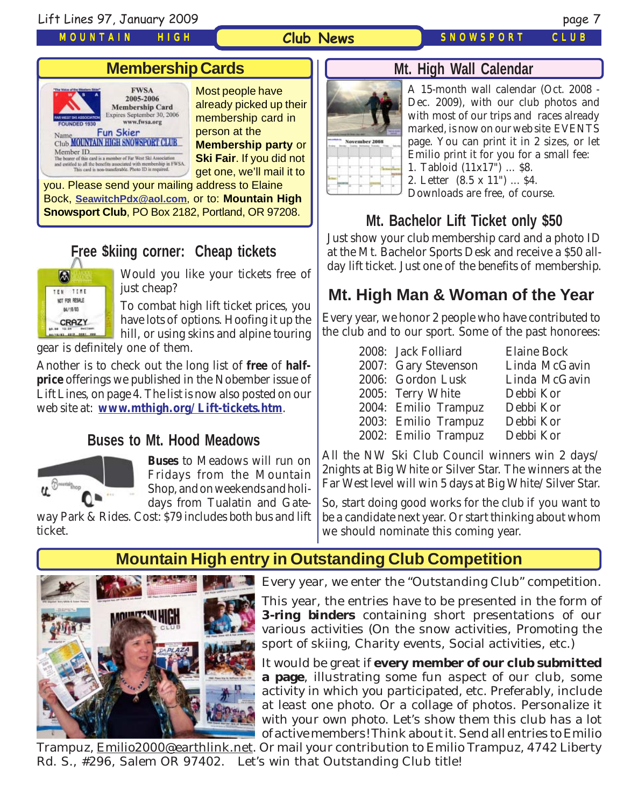Lift Lines 97, January 2009 page 7

*MOUNTAIN HIGH*

#### **Club News**

*SNOWSPORT CLUB*

## **Membership Cards**



Most people have already picked up their membership card in person at the **Membership party** or **Ski Fair**. If you did not get one, we'll mail it to

you. Please send your mailing address to Elaine Bock, **[SeawitchPdx@aol.com](mailto:seawitchpdx@aol.com)**, or to: **Mountain High Snowsport Club**, PO Box 2182, Portland, OR 97208.

# **Free \$kiing corner: Cheap tickets**



Would you like your tickets free of just cheap?

To combat high lift ticket prices, you have lots of options. Hoofing it up the hill, or using skins and alpine touring

gear is definitely one of them.

Another is to check out the long list of **free** of **halfprice** offerings we published in the Nobember issue of Lift Lines, on page 4. The list is now also posted on our web site at: **[www.mthigh.org/Lift-tickets.htm](http://www.mthigh.org/Lift-tickets.htm)**.

### **Buses to Mt. Hood Meadows**



**Buses** to Meadows will run on Fridays from the Mountain Shop, and on weekends and holidays from Tualatin and Gate-

way Park & Rides. Cost: \$79 includes both bus and lift ticket.



A 15-month wall calendar (Oct. 2008 - Dec. 2009), with our club photos and with most of our trips and races already marked, is now on our web site EVENTS page. You can print it in 2 sizes, or let Emilio print it for you for a small fee: 1. Tabloid (11x17") ... \$8. 2. Letter (8.5 x 11") ... \$4. Downloads are free, of course.

**Mt. Bachelor Lift Ticket only \$50**

**Mt. High Wall Calendar**

Just show your club membership card and a photo ID at the Mt. Bachelor Sports Desk and receive a \$50 allday lift ticket. Just one of the benefits of membership.

# **Mt. High Man & Woman of the Year**

Every year, we honor 2 people who have contributed to the club and to our sport. Some of the past honorees:

| 2008: Jack Folliard  | <b>Elaine Bock</b> |
|----------------------|--------------------|
| 2007: Gary Stevenson | Linda McGavin      |
| 2006: Gordon Lusk    | Linda McGavin      |
| 2005: Terry White    | Debbi Kor          |
| 2004: Emilio Trampuz | Debbi Kor          |
| 2003: Emilio Trampuz | Debbi Kor          |
| 2002: Emilio Trampuz | Debbi Kor          |

All the NW Ski Club Council winners win 2 days/ 2nights at Big White or Silver Star. The winners at the Far West level will win 5 days at Big White/Silver Star.

So, start doing good works for the club if you want to be a candidate next year. Or start thinking about whom we should nominate this coming year.

### **Mountain High entry in Outstanding Club Competition**



Every year, we enter the "Outstanding Club" competition.

This year, the entries have to be presented in the form of **3-ring binders** containing short presentations of our various activities (On the snow activities, Promoting the sport of skiing, Charity events, Social activities, etc.)

It would be great if **every member of our club submitted a page**, illustrating some fun aspect of our club, some activity in which you participated, etc. Preferably, include at least one photo. Or a collage of photos. Personalize it with your own photo. Let's show them this club has a lot of active members! Think about it. Send all entries to Emilio

Trampuz, <u>Emilio2000@earthlink.net</u>. Or mail your contribution to Emilio Trampuz, 4742 Liberty Rd. S., #296, Salem OR 97402. Let's win that Outstanding Club title!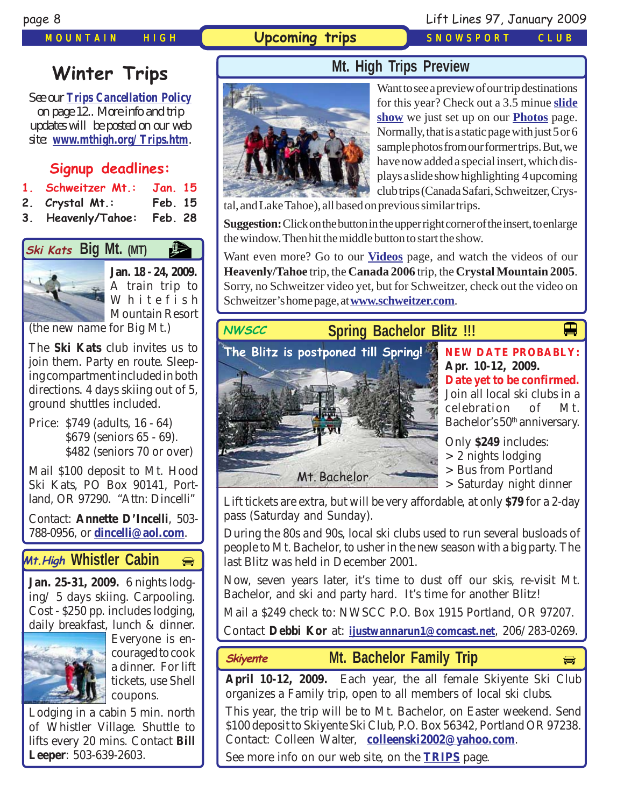### *MOUNTAIN HIGH* **Upcoming trips** *SNOWSPORT CLUB*

### page 8 Lift Lines 97, January 2009

# **Winter Trips**

*See our [Trips Cancellation Policy](http://www.mthigh.org/Documents/Trip-Cancellation-Policy.pdf) on page 12.. More info and trip updates will be posted on our web site: [www.mthigh.org/Trips.htm](http://www.mthigh.org/Trips.htm).*

# **Signup deadlines:**

- **1. Schweitzer Mt.: Jan. 15**
- **2. Crystal Mt.: Feb. 15**
- **3. Heavenly/Tahoe: Feb. 28**

# **Big Mt.** (MT)



**Jan. 18 - 24, 2009.** A train trip to Whitefish Mountain Resort

(the new name for Big Mt.)

The **Ski Kats** club invites us to join them. Party en route. Sleeping compartment included in both directions. 4 days skiing out of 5, ground shuttles included.

Price: \$749 (adults, 16 - 64) \$679 (seniors 65 - 69). \$482 (seniors 70 or over)

Mail \$100 deposit to Mt. Hood Ski Kats, PO Box 90141, Portland, OR 97290. "Attn: Dincelli"

Contact: **Annette D'Incelli**, 503- 788-0956, or **[dincelli@aol.com](mailto:dincelli@aol.com)**.

### **Mt.High Whistler Cabin**

**Jan. 25-31, 2009.** 6 nights lodging/ 5 days skiing. Carpooling. Cost - \$250 pp. includes lodging, daily breakfast, lunch & dinner.



Everyone is encouraged to cook a dinner. For lift tickets, use Shell coupons.

Lodging in a cabin 5 min. north of Whistler Village. Shuttle to lifts every 20 mins. Contact **Bill Leeper**: 503-639-2603.



Want to see a preview of our trip destinations for this year? Check out a 3.5 minue **[slide](http://www.mthigh.org/Photos.htm) [show](http://www.mthigh.org/Photos.htm)** we just set up on our **[Photos](http://www.mthigh.org/Photos.htm)** page. Normally, that is a static page with just 5 or 6 sample photos from our former trips. But, we have now added a special insert, which displays a slide show highlighting 4 upcoming club trips (Canada Safari, Schweitzer, Crys-

tal, and Lake Tahoe), all based on previous similar trips.

**Suggestion:** Click on the button in the upper right corner of the insert, to enlarge the window. Then hit the middle button to start the show.

Want even more? Go to our **[Videos](http://www.mthigh.org/Videos.htm)** page, and watch the videos of our **Heavenly/Tahoe** trip, the **Canada 2006** trip, the **Crystal Mountain 2005**. Sorry, no Schweitzer video yet, but for Schweitzer, check out the video on Schweitzer's home page, at **[www.schweitzer.com](http://www.schweitzer.com/)**.

# **Spring Bachelor Blitz !!! NWSCC** Mt. Bachelor **The Blitz is postponed till Spring!**

**NEW DATE PROBABLY: Apr. 10-12, 2009. Date yet to be confirmed.** Join all local ski clubs in a

 $\blacksquare$ 

celebration of Mt. Bachelor's 50<sup>th</sup> anniversary.

Only **\$249** includes:

- > 2 nights lodging
- > Bus from Portland
- > Saturday night dinner

Lift tickets are extra, but will be very affordable, at only **\$79** for a 2-day pass (Saturday and Sunday).

During the 80s and 90s, local ski clubs used to run several busloads of people to Mt. Bachelor, to usher in the new season with a big party. The last Blitz was held in December 2001.

Now, seven years later, it's time to dust off our skis, re-visit Mt. Bachelor, and ski and party hard. It's time for another Blitz!

Mail a \$249 check to: NWSCC P.O. Box 1915 Portland, OR 97207.

Contact **Debbi Kor** at: **[ijustwannarun1@comcast.net](mailto:Ijustwannarun1@comcast.net)**, 206/283-0269.

- **Mt. Bachelor Family Trip Skiyente** p
	-

**April 10-12, 2009.** Each year, the all female Skiyente Ski Club organizes a Family trip, open to all members of local ski clubs.

This year, the trip will be to Mt. Bachelor, on Easter weekend. Send \$100 deposit to Skiyente Ski Club, P.O. Box 56342, Portland OR 97238. Contact: Colleen Walter, **[colleenski2002@yahoo.com](mailto:colleenski2002@yahoo.com)**.

See more info on our web site, on the **[TRIPS](http://www.mthigh.org/Trips.htm)** page.

**Mt. High Trips Preview**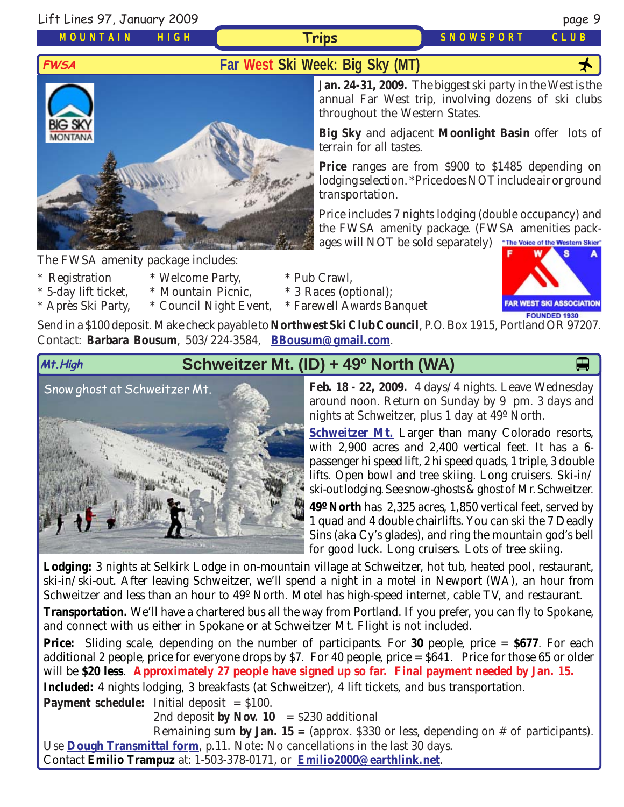Lift Lines 97, January 2009 page 9

*MOUNTAIN HIGH*

**Trips** *SNOWSPORT CLUB*



The FWSA amenity package includes:

- 
- \* Registration \* Welcome Party, \* Pub Crawl,
- \* 5-day lift ticket, \* Mountain Picnic, \* 3 Races (optional);
- \* Après Ski Party, \* Council Night Event, \* Farewell Awards Banquet

J**an. 24-31, 2009.** The biggest ski party in the West is the annual Far West trip, involving dozens of ski clubs throughout the Western States.

**Big Sky** and adjacent **Moonlight Basin** offer lots of terrain for all tastes.

**Price** ranges are from \$900 to \$1485 depending on lodging selection. \*Price does NOT include air or ground transportation.

Price includes 7 nights lodging (double occupancy) and the FWSA amenity package. (FWSA amenities packages will NOT be sold separately) The Voice of the Western Skier"



Send in a \$100 deposit. Make check payable to **Northwest Ski Club Council**, P.O. Box 1915, Portland OR 97207. Contact: **Barbara Bousum**, 503/224-3584, **[BBousum@gmail.com](mailto:BBousum@gmail.com)**.



# **Mt.High Schweitzer Mt. (ID) + 49<sup>o</sup> North (WA)**

[Snow ghost at Schweitzer Mt.](http://www.schweitzer.com/)



around noon. Return on Sunday by 9 pm. 3 days and nights at Schweitzer, plus 1 day at 49º North.

**[Schweitzer Mt.](http://www.schweitzer.com/)** Larger than many Colorado resorts, with 2,900 acres and 2,400 vertical feet. It has a 6 passenger hi speed lift, 2 hi speed quads, 1 triple, 3 double lifts. Open bowl and tree skiing. Long cruisers. Ski-in/ ski-out lodging. See snow-ghosts & ghost of Mr. Schweitzer.

**49º North** has 2,325 acres, 1,850 vertical feet, served by 1 quad and 4 double chairlifts. You can ski the 7 Deadly Sins (aka Cy's glades), and ring the mountain god's bell for good luck. Long cruisers. Lots of tree skiing.

**Lodging:** 3 nights at Selkirk Lodge in on-mountain village at Schweitzer, hot tub, heated pool, restaurant, ski-in/ski-out. After leaving Schweitzer, we'll spend a night in a motel in Newport (WA), an hour from Schweitzer and less than an hour to 49º North. Motel has high-speed internet, cable TV, and restaurant.

**Transportation.** We'll have a chartered bus all the way from Portland. If you prefer, you can fly to Spokane, and connect with us either in Spokane or at Schweitzer Mt. Flight is not included.

**Price:** Sliding scale, depending on the number of participants. For **30** people, price = **\$677**. For each additional 2 people, price for everyone drops by \$7. For 40 people, price  $= $641$ . Price for those 65 or older will be **\$20 less**. **Approximately 27 people have signed up so far. Final payment needed by Jan. 15.**

**Included:** 4 nights lodging, 3 breakfasts (at Schweitzer), 4 lift tickets, and bus transportation.

**Payment schedule:** Initial deposit = \$100.

2nd deposit **by Nov. 10** =  $$230$  additional

Remaining sum **by Jan. 15 =** (approx. \$330 or less, depending on # of participants). Use **[Dough Transmittal form](http://www.mthigh.org/Documents/DOUGH%20TRANSMITTAL%20FORM.pdf)**, p.11. Note: No cancellations in the last 30 days.

Contact **Emilio Trampuz** at: 1-503-378-0171, or **[Emilio2000@earthlink.net](mailto:Emilio2000@earthlink.net)**.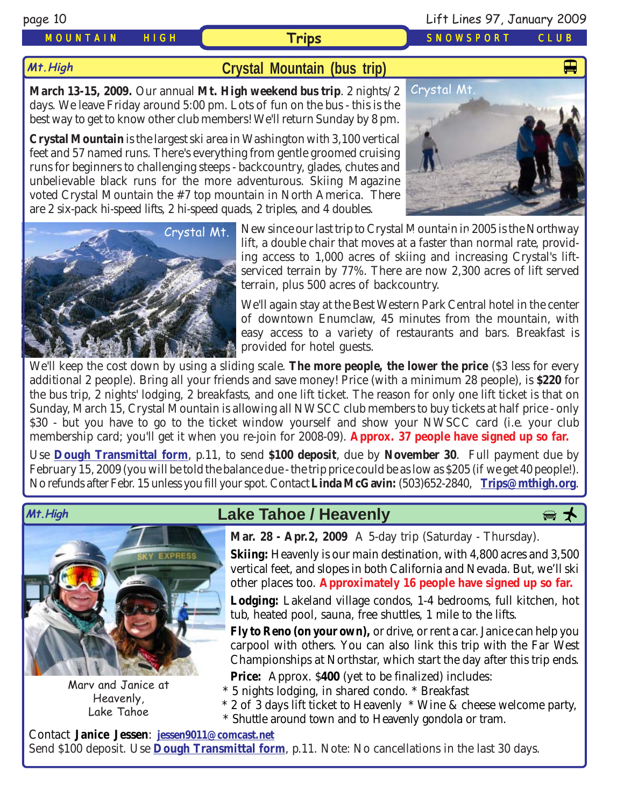**Mt.High**

#### *MOUNTAIN HIGH* **Trips** *SNOWSPORT CLUB*

#### **[Crystal Mountain \(bus trip\)](http://www.crystalmt.com/)**

**March 13-15, 2009.** Our annual **Mt. High weekend bus trip**. 2 nights/2 days. We leave Friday around 5:00 pm. Lots of fun on the bus - this is the best way to get to know other club members! We'll return Sunday by 8 pm.

**Crystal Mountain** is the largest ski area in Washington with 3,100 vertical feet and 57 named runs. There's everything from gentle groomed cruising runs for beginners to challenging steeps - backcountry, glades, chutes and unbelievable black runs for the more adventurous. Skiing Magazine voted Crystal Mountain the #7 top mountain in North America. There are 2 six-pack hi-speed lifts, 2 hi-speed quads, 2 triples, and 4 doubles.





[Crystal Mt.](http://www.crystalmt.com/) New since our last trip to Crystal Mountain in 2005 is the Northway lift, a double chair that moves at a faster than normal rate, providing access to 1,000 acres of skiing and increasing Crystal's liftserviced terrain by 77%. There are now 2,300 acres of lift served terrain, plus 500 acres of backcountry.

> We'll again stay at the Best Western Park Central hotel in the center of downtown Enumclaw, 45 minutes from the mountain, with easy access to a variety of restaurants and bars. Breakfast is provided for hotel guests.

We'll keep the cost down by using a sliding scale. **The more people, the lower the price** (\$3 less for every additional 2 people). Bring all your friends and save money! Price (with a minimum 28 people), is **\$220** for the bus trip, 2 nights' lodging, 2 breakfasts, and one lift ticket. The reason for only one lift ticket is that on Sunday, March 15, Crystal Mountain is allowing all NWSCC club members to buy tickets at half price - only \$30 - but you have to go to the ticket window yourself and show your NWSCC card (i.e. your club membership card; you'll get it when you re-join for 2008-09). **Approx. 37 people have signed up so far.**

Use **[Dough Transmittal form](http://www.mthigh.org/Documents/DOUGH%20TRANSMITTAL%20FORM.pdf)**, p.11, to send **\$100 deposit**, due by **November 30**. Full payment due by February 15, 2009 (you will be told the balance due - the trip price could be as low as \$205 (if we get 40 people!). No refunds after Febr. 15 unless you fill your spot. Contact **Linda McGavin:** (503)652-2840, **[Trips@mthigh.org](mailto:Trips@mthigh.org)**.



Marv and Janice at Heavenly, Lake Tahoe

# Mt.High **Download Cake Tahoe / Heavenly**



**Mar. 28 - Apr.2, 2009** A 5-day trip (Saturday - Thursday).

**Skiing:** Heavenly is our main destination, with 4,800 acres and 3,500 vertical feet, and slopes in both California and Nevada. But, we'll ski other places too. **Approximately 16 people have signed up so far.**

**Lodging:** Lakeland village condos, 1-4 bedrooms, full kitchen, hot tub, heated pool, sauna, free shuttles, 1 mile to the lifts.

**Fly to Reno (on your own),** or drive, or rent a car. Janice can help you carpool with others. You can also link this trip with the Far West Championships at Northstar, which start the day after this trip ends.

**Price:** Approx. \$400 (yet to be finalized) includes:

- \* 5 nights lodging, in shared condo. \* Breakfast
- \* 2 of 3 days lift ticket to Heavenly \* Wine & cheese welcome party,
- \* Shuttle around town and to Heavenly gondola or tram.

Contact **Janice Jessen**: **[jessen9011@comcast.net](mailto:jessen9011@comcast.net)** Send \$100 deposit. Use **[Dough Transmittal form](http://www.mthigh.org/Documents/DOUGH%20TRANSMITTAL%20FORM.pdf)**, p.11. Note: No cancellations in the last 30 days.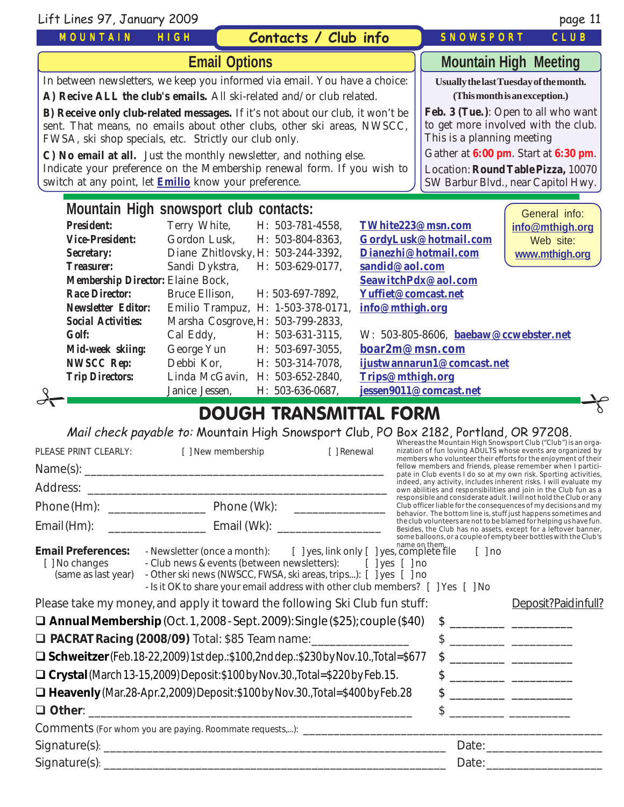| Lift Lines 97, January 2009                                                                                                                                                                                                                                                                |                |                                    |                        |                                                                         | page 11                                                                                                          |
|--------------------------------------------------------------------------------------------------------------------------------------------------------------------------------------------------------------------------------------------------------------------------------------------|----------------|------------------------------------|------------------------|-------------------------------------------------------------------------|------------------------------------------------------------------------------------------------------------------|
| <b>MOUNTAIN</b>                                                                                                                                                                                                                                                                            | HIGH           | Contacts / Club info               |                        | SNOWSPORT                                                               | CLUB                                                                                                             |
| <b>Email Options</b>                                                                                                                                                                                                                                                                       |                |                                    |                        | <b>Mountain High Meeting</b>                                            |                                                                                                                  |
| In between newsletters, we keep you informed via email. You have a choice:                                                                                                                                                                                                                 |                |                                    |                        | Usually the last Tuesday of the month.<br>(This month is an exception.) |                                                                                                                  |
| A) Recive ALL the club's emails. All ski-related and/or club related.<br>B) Receive only club-related messages. If it's not about our club, it won't be<br>sent. That means, no emails about other clubs, other ski areas, NWSCC,<br>FWSA, ski shop specials, etc. Strictly our club only. |                |                                    |                        | This is a planning meeting                                              | Feb. 3 (Tue.): Open to all who want<br>to get more involved with the club.                                       |
| C) No email at all. Just the monthly newsletter, and nothing else.<br>Indicate your preference on the Membership renewal form. If you wish to<br>switch at any point, let <b>Emilio</b> know your preference.                                                                              |                |                                    |                        |                                                                         | Gather at 6:00 pm. Start at 6:30 pm.<br>Location: Round Table Pizza, 10070<br>SW Barbur Blvd., near Capitol Hwy. |
| Mountain High snowsport club contacts:                                                                                                                                                                                                                                                     |                |                                    |                        |                                                                         | General info:                                                                                                    |
| <b>President:</b>                                                                                                                                                                                                                                                                          | Terry White,   | H: 503-781-4558,                   | TWhite223@msn.com      |                                                                         | info@mthigh.org                                                                                                  |
| <b>Vice-President:</b>                                                                                                                                                                                                                                                                     | Gordon Lusk,   | H: 503-804-8363,                   |                        | GordyLusk@hotmail.com                                                   | Web site:                                                                                                        |
| Secretary:                                                                                                                                                                                                                                                                                 |                | Diane Zhitlovsky, H: 503-244-3392, |                        | Dianezhi@hotmail.com                                                    | www.mthigh.org                                                                                                   |
| <b>Treasurer:</b>                                                                                                                                                                                                                                                                          | Sandi Dykstra, | H: 503-629-0177,                   | sandid@aol.com         |                                                                         |                                                                                                                  |
| Membership Director: Elaine Bock,                                                                                                                                                                                                                                                          |                |                                    |                        | SeawitchPdx@aol.com                                                     |                                                                                                                  |
| <b>Race Director:</b>                                                                                                                                                                                                                                                                      | Bruce Ellison, | H: 503-697-7892.                   | Yuffiet@comcast.net    |                                                                         |                                                                                                                  |
| <b>Newsletter Editor:</b>                                                                                                                                                                                                                                                                  |                | Emilio Trampuz, H: 1-503-378-0171, | info@mthigh.org        |                                                                         |                                                                                                                  |
| <b>Social Activities:</b>                                                                                                                                                                                                                                                                  |                | Marsha Cosgrove, H: 503-799-2833,  |                        |                                                                         |                                                                                                                  |
| <b>Golf:</b>                                                                                                                                                                                                                                                                               | Cal Eddy,      | H: 503-631-3115,                   |                        | W: 503-805-8606, baebaw@ccwebster.net                                   |                                                                                                                  |
| Mid-week skiing:                                                                                                                                                                                                                                                                           | George Yun     | H: 503-697-3055,                   | boar2m@msn.com         |                                                                         |                                                                                                                  |
| <b>NWSCC Rep:</b>                                                                                                                                                                                                                                                                          | Debbi Kor,     | H: 503-314-7078,                   |                        | ijustwannarun1@comcast.net                                              |                                                                                                                  |
| <b>Trip Directors:</b>                                                                                                                                                                                                                                                                     |                | Linda McGavin, H: 503-652-2840,    | Trips@mthigh.org       |                                                                         |                                                                                                                  |
|                                                                                                                                                                                                                                                                                            | Janice Jessen, | H: 503-636-0687,                   | jessen9011@comcast.net |                                                                         |                                                                                                                  |

# DOUGH TRANSMITTAL FORM

Mail check payable to: Mountain High Snowsport Club, PO Box 2182, Portland, OR 97208.

| PLEASE PRINT CLEARLY:                                              | [ ] New membership                                                                                                                                                                                                                                                                         | [ ] Renewal |                      | Whereas the Mountain High Snowsport Club ("Club") is an orga-<br>nization of fun loving ADULTS whose events are organized by<br>members who volunteer their efforts for the enjoyment of their                                                                                                                      |
|--------------------------------------------------------------------|--------------------------------------------------------------------------------------------------------------------------------------------------------------------------------------------------------------------------------------------------------------------------------------------|-------------|----------------------|---------------------------------------------------------------------------------------------------------------------------------------------------------------------------------------------------------------------------------------------------------------------------------------------------------------------|
|                                                                    |                                                                                                                                                                                                                                                                                            |             |                      | fellow members and friends, please remember when I partici-<br>pate in Club events I do so at my own risk. Sporting activities,                                                                                                                                                                                     |
|                                                                    |                                                                                                                                                                                                                                                                                            |             |                      | indeed, any activity, includes inherent risks. I will evaluate my<br>own abilities and responsibilities and join in the Club fun as a                                                                                                                                                                               |
|                                                                    |                                                                                                                                                                                                                                                                                            |             |                      | responsible and considerate adult. I will not hold the Club or any<br>Club officer liable for the consequences of my decisions and my<br>behavior. The bottom line is, stuff just happens sometimes and                                                                                                             |
|                                                                    | Email (Hm): ___________________________________ Email (Wk): ____________________                                                                                                                                                                                                           |             |                      | the club volunteers are not to be blamed for helping us have fun.<br>Besides, the Club has no assets, except for a leftover banner,                                                                                                                                                                                 |
| <b>Email Preferences:</b><br>[ ] No changes<br>(same as last year) | - Newsletter (once a month): [ ] yes, link only [ ] yes, complete file<br>- Club news & events (between newsletters): [ ] yes [ ] no<br>- Other ski news (NWSCC, FWSA, ski areas, trips): [ ] yes [ ] no<br>- Is it OK to share your email address with other club members? [ ] Yes [ ] No |             | $\lceil$ $\rceil$ no | some balloons, or a couple of empty beer bottles with the Club's                                                                                                                                                                                                                                                    |
|                                                                    | Please take my money, and apply it toward the following Ski Club fun stuff:                                                                                                                                                                                                                |             |                      | Deposit?Paidinfull?                                                                                                                                                                                                                                                                                                 |
|                                                                    | $\Box$ Annual Membership (Oct. 1, 2008 - Sept. 2009): Single (\$25); couple (\$40)                                                                                                                                                                                                         |             |                      | $\frac{1}{2}$ $\frac{1}{2}$ $\frac{1}{2}$ $\frac{1}{2}$ $\frac{1}{2}$ $\frac{1}{2}$ $\frac{1}{2}$ $\frac{1}{2}$ $\frac{1}{2}$ $\frac{1}{2}$ $\frac{1}{2}$ $\frac{1}{2}$ $\frac{1}{2}$ $\frac{1}{2}$ $\frac{1}{2}$ $\frac{1}{2}$ $\frac{1}{2}$ $\frac{1}{2}$ $\frac{1}{2}$ $\frac{1}{2}$ $\frac{1}{2}$ $\frac{1}{2}$ |
|                                                                    | □ PACRAT Racing (2008/09) Total: \$85 Team name: _________________                                                                                                                                                                                                                         |             |                      | $\frac{1}{2}$ $\frac{1}{2}$ $\frac{1}{2}$ $\frac{1}{2}$ $\frac{1}{2}$ $\frac{1}{2}$ $\frac{1}{2}$ $\frac{1}{2}$ $\frac{1}{2}$ $\frac{1}{2}$ $\frac{1}{2}$ $\frac{1}{2}$ $\frac{1}{2}$ $\frac{1}{2}$ $\frac{1}{2}$ $\frac{1}{2}$ $\frac{1}{2}$ $\frac{1}{2}$ $\frac{1}{2}$ $\frac{1}{2}$ $\frac{1}{2}$ $\frac{1}{2}$ |
|                                                                    | $\Box$ Schweitzer (Feb. 18-22, 2009) 1st dep.: \$100, 2nd dep.: \$230 by Nov. 10., Total=\$677                                                                                                                                                                                             |             |                      | $\frac{1}{2}$                                                                                                                                                                                                                                                                                                       |
|                                                                    | $\Box$ Crystal (March 13-15,2009) Deposit: \$100 by Nov.30., Total=\$220 by Feb. 15.                                                                                                                                                                                                       |             |                      |                                                                                                                                                                                                                                                                                                                     |
|                                                                    | $\Box$ Heavenly (Mar.28-Apr.2,2009) Deposit: \$100 by Nov.30. Total=\$400 by Feb.28                                                                                                                                                                                                        |             |                      |                                                                                                                                                                                                                                                                                                                     |
|                                                                    |                                                                                                                                                                                                                                                                                            |             |                      |                                                                                                                                                                                                                                                                                                                     |
|                                                                    | Comments (For whom you are paying. Roommate requests,): _____________________                                                                                                                                                                                                              |             |                      |                                                                                                                                                                                                                                                                                                                     |
|                                                                    |                                                                                                                                                                                                                                                                                            |             |                      | Date: the contract of the contract of the contract of the contract of the contract of the contract of the contract of the contract of the contract of the contract of the contract of the contract of the contract of the cont                                                                                      |
|                                                                    |                                                                                                                                                                                                                                                                                            |             |                      | Date: and the contract of the contract of the contract of the contract of the contract of the contract of the contract of the contract of the contract of the contract of the contract of the contract of the contract of the                                                                                       |
|                                                                    |                                                                                                                                                                                                                                                                                            |             |                      |                                                                                                                                                                                                                                                                                                                     |